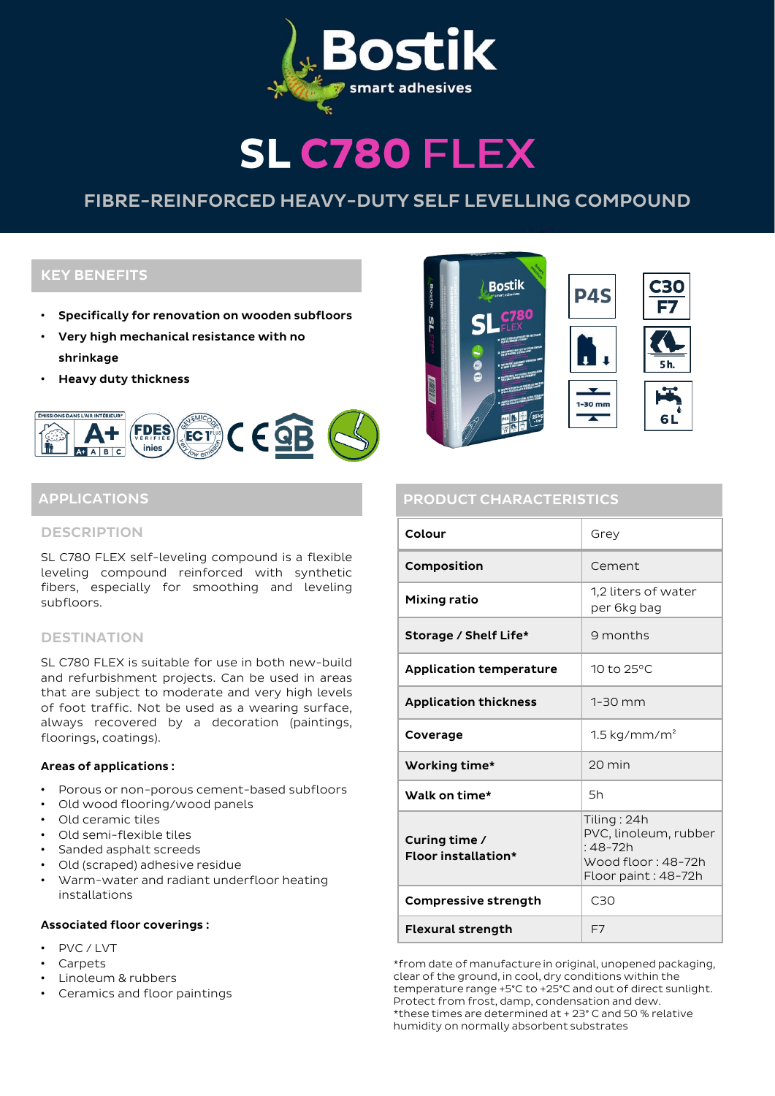

# **SL C780 FLEX**

# FIBRE-REINFORCED HEAVY-DUTY SELF LEVELLING COMPOUND

# KEY BENEFITS

- Specifically for renovation on wooden subfloors
- Very high mechanical resistance with no shrinkage
- Heavy duty thickness



#### **DESCRIPTION**

SL C780 FLEX self-leveling compound is a flexible leveling compound reinforced with synthetic fibers, especially for smoothing and leveling subfloors.

## **DESTINATION**

SL C780 FLEX is suitable for use in both new-build and refurbishment projects. Can be used in areas that are subject to moderate and very high levels of foot traffic. Not be used as a wearing surface, always recovered by a decoration (paintings, floorings, coatings).

#### Areas of applications :

- Porous or non-porous cement-based subfloors
- Old wood flooring/wood panels
- Old ceramic tiles
- Old semi-flexible tiles
- Sanded asphalt screeds
- Old (scraped) adhesive residue
- Warm-water and radiant underfloor heating installations

#### Associated floor coverings :

- PVC / LVT
- Carpets
- Linoleum & rubbers
- Ceramics and floor paintings



# APPLICATIONS APPLICATIONS ARE ENTIRELY ASSESSED. THE PRODUCT CHARACTERISTICS

| Colour                               | Grev                                                                                           |  |
|--------------------------------------|------------------------------------------------------------------------------------------------|--|
| Composition                          | Cement                                                                                         |  |
| Mixing ratio                         | 1.2 liters of water<br>per 6kg bag                                                             |  |
| Storage / Shelf Life*                | 9 months                                                                                       |  |
| <b>Application temperature</b>       | 10 to 25°C                                                                                     |  |
| <b>Application thickness</b>         | $1-30$ mm                                                                                      |  |
| Coverage                             | $1.5 \text{ kg/mm/m}^2$                                                                        |  |
| Working time*                        | $20 \text{ min}$                                                                               |  |
| Walk on time*                        | 5h                                                                                             |  |
| Curing time /<br>Floor installation* | Tiling: 24h<br>PVC, linoleum, rubber<br>$:48-72h$<br>Wood floor: 48-72h<br>Floor paint: 48-72h |  |
| Compressive strength                 | C <sub>30</sub>                                                                                |  |
| <b>Flexural strength</b>             | F7                                                                                             |  |

\*from date of manufacture in original, unopened packaging, clear of the ground, in cool, dry conditions within the temperature range +5°C to +25°C and out of direct sunlight. Protect from frost, damp, condensation and dew. \*these times are determined at + 23° C and 50 % relative humidity on normally absorbent substrates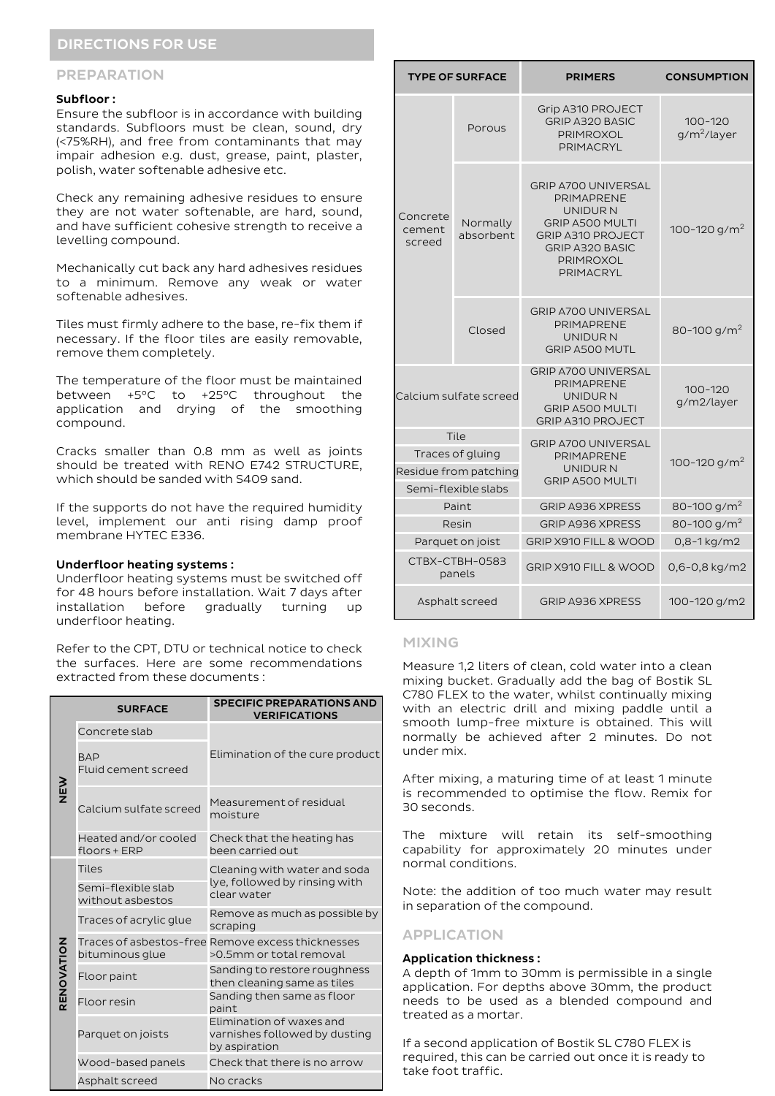# DIRECTIONS FOR USE

#### PREPARATION

#### Subfloor :

Ensure the subfloor is in accordance with building standards. Subfloors must be clean, sound, dry (<75%RH), and free from contaminants that may impair adhesion e.g. dust, grease, paint, plaster, polish, water softenable adhesive etc.

Check any remaining adhesive residues to ensure they are not water softenable, are hard, sound, and have sufficient cohesive strength to receive a levelling compound.

Mechanically cut back any hard adhesives residues to a minimum. Remove any weak or water softenable adhesives.

Tiles must firmly adhere to the base, re-fix them if necessary. If the floor tiles are easily removable, remove them completely.

The temperature of the floor must be maintained between +5°C to +25°C throughout the application and drying of the smoothing compound.

Cracks smaller than 0.8 mm as well as joints should be treated with RENO E742 STRUCTURE, which should be sanded with S409 sand.

If the supports do not have the required humidity level, implement our anti rising damp proof membrane HYTEC E336.

#### Underfloor heating systems :

Underfloor heating systems must be switched off for 48 hours before installation. Wait 7 days after installation before gradually turning up underfloor heating.

Refer to the CPT, DTU or technical notice to check the surfaces. Here are some recommendations extracted from these documents :

|            | <b>SURFACE</b>                         | <b>SPECIFIC PREPARATIONS AND</b><br><b>VERIFICATIONS</b>                     |  |
|------------|----------------------------------------|------------------------------------------------------------------------------|--|
| NEN<br>N   | Concrete slab                          |                                                                              |  |
|            | <b>BAP</b><br>Fluid cement screed      | Elimination of the cure product                                              |  |
|            | Calcium sulfate screed                 | Measurement of residual<br>moisture                                          |  |
|            | Heated and/or cooled<br>$floors + ERP$ | Check that the heating has<br>been carried out.                              |  |
|            | <b>Tiles</b>                           | Cleaning with water and soda<br>lye, followed by rinsing with<br>clear water |  |
|            | Semi-flexible slab<br>without asbestos |                                                                              |  |
|            | Traces of acrylic glue                 | Remove as much as possible by<br>scraping                                    |  |
|            | bituminous glue                        | Traces of asbestos-free Remove excess thicknesses<br>>0.5mm or total removal |  |
| RENOVATION | Floor paint                            | Sanding to restore roughness<br>then cleaning same as tiles                  |  |
|            | Floor resin                            | Sanding then same as floor<br>paint                                          |  |
|            | Parquet on joists                      | Elimination of waxes and<br>varnishes followed by dusting<br>by aspiration   |  |
|            | Wood-based panels                      | Check that there is no arrow                                                 |  |
|            | Asphalt screed                         | No cracks                                                                    |  |

| <b>TYPE OF SURFACE</b>                                                   |                       | <b>PRIMERS</b>                                                                                                                                                 | <b>CONSUMPTION</b>            |
|--------------------------------------------------------------------------|-----------------------|----------------------------------------------------------------------------------------------------------------------------------------------------------------|-------------------------------|
| Concrete<br>cement<br>screed                                             | Porous                | Grip A310 PROJECT<br><b>GRIP A320 BASIC</b><br>PRIMROXOL<br>PRIMACRYL                                                                                          | $100 - 120$<br>$q/m^2$ /layer |
|                                                                          | Normally<br>absorbent | <b>GRIP A700 UNIVERSAL</b><br>PRIMAPRENE<br>UNIDUR N<br><b>GRIP A500 MULTI</b><br><b>GRIP A310 PROJECT</b><br><b>GRIP A320 BASIC</b><br>PRIMROXOL<br>PRIMACRYL | 100-120 g/m <sup>2</sup>      |
|                                                                          | Closed                | <b>GRIP A700 UNIVERSAL</b><br>PRIMAPRENE<br>UNIDUR N<br>GRIP A500 MUTL                                                                                         | 80-100 g/m <sup>2</sup>       |
| Calcium sulfate screed                                                   |                       | <b>GRIP A700 UNIVERSAL</b><br>PRIMAPRENE<br>UNIDUR N<br><b>GRIP A500 MULTI</b><br><b>GRIP A310 PROJECT</b>                                                     | 100-120<br>g/m2/layer         |
| Tile<br>Traces of gluing<br>Residue from patching<br>Semi-flexible slabs |                       | <b>GRIP A700 UNIVERSAL</b><br><b>PRIMAPRENE</b><br>UNIDUR N<br><b>GRIP A500 MULTI</b>                                                                          | 100-120 g/m <sup>2</sup>      |
| Paint                                                                    |                       | <b>GRIP A936 XPRESS</b>                                                                                                                                        | 80-100 g/m <sup>2</sup>       |
| Resin                                                                    |                       | <b>GRIP A936 XPRESS</b>                                                                                                                                        | 80-100 g/m <sup>2</sup>       |
| Parquet on joist                                                         |                       | GRIP X910 FILL & WOOD                                                                                                                                          | 0,8-1 kg/m2                   |
| CTBX-CTBH-0583<br>panels                                                 |                       | <b>GRIP X910 FILL &amp; WOOD</b>                                                                                                                               | 0,6-0,8 kg/m2                 |
| Asphalt screed                                                           |                       | <b>GRIP A936 XPRESS</b>                                                                                                                                        | 100-120 g/m2                  |

#### MIXING

Measure 1,2 liters of clean, cold water into a clean mixing bucket. Gradually add the bag of Bostik SL C780 FLEX to the water, whilst continually mixing with an electric drill and mixing paddle until a smooth lump-free mixture is obtained. This will normally be achieved after 2 minutes. Do not under mix.

After mixing, a maturing time of at least 1 minute is recommended to optimise the flow. Remix for 30 seconds.

The mixture will retain its self-smoothing capability for approximately 20 minutes under normal conditions.

Note: the addition of too much water may result in separation of the compound.

### APPLICATION

#### Application thickness :

A depth of 1mm to 30mm is permissible in a single application. For depths above 30mm, the product needs to be used as a blended compound and treated as a mortar.

If a second application of Bostik SL C780 FLEX is required, this can be carried out once it is ready to take foot traffic.